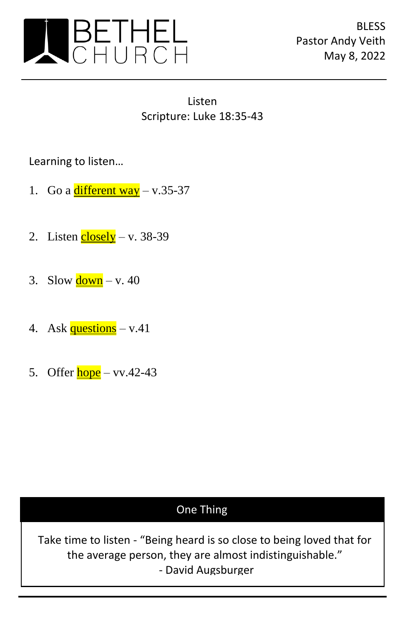

Listen Scripture: Luke 18:35-43

Learning to listen…

- 1. Go a  $\frac{\text{different way}}{\text{way}} \text{v.35-37}$
- 2. Listen  $\frac{\text{closedy}}{\text{v}}$  v. 38-39
- 3. Slow  $\frac{\text{down}}{\text{ v}}$  v. 40
- 4. Ask  $questions v.41$
- 5. Offer  $hope vv.42-43$

## One Thing

Take time to listen - "Being heard is so close to being loved that for the average person, they are almost indistinguishable." - David Augsburger